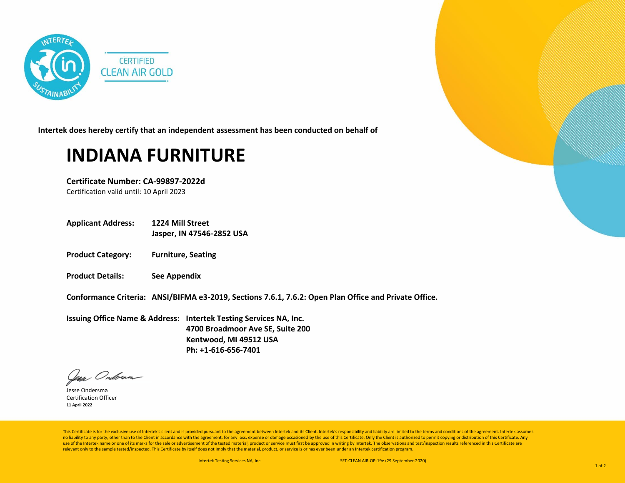

**Intertek does hereby certify that an independent assessment has been conducted on behalf of**

## **INDIANA FURNITURE**

**Certificate Number: CA-99897-2022d** Certification valid until: 10 April 2023

- **Applicant Address: 1224 Mill Street Jasper, IN 47546-2852 USA**
- **Product Category: Furniture, Seating**
- **Product Details: See Appendix**

**Conformance Criteria: ANSI/BIFMA e3-2019, Sections 7.6.1, 7.6.2: Open Plan Office and Private Office.**

**Issuing Office Name & Address: Intertek Testing Services NA, Inc. 4700 Broadmoor Ave SE, Suite 200 Kentwood, MI 49512 USA Ph: +1-616-656-7401**

lean Ondoran

Jesse Ondersma Certification Officer **11 April 2022**

This Certificate is for the exclusive use of Intertek's client and is provided pursuant to the agreement between Intertek and its Client. Intertek's responsibility and liability are limited to the terms and conditions of t no liability to any party, other than to the Client in accordance with the agreement, for any loss, expense or damage occasioned by the use of this Certificate. Only the Client is authorized to permit copying or distributi use of the Intertek name or one of its marks for the sale or advertisement of the tested material, product or service must first be approved in writing by Intertek. The observations and test/inspection results referenced i relevant only to the sample tested/inspected. This Certificate by itself does not imply that the material, product, or service is or has ever been under an Intertek certification program.